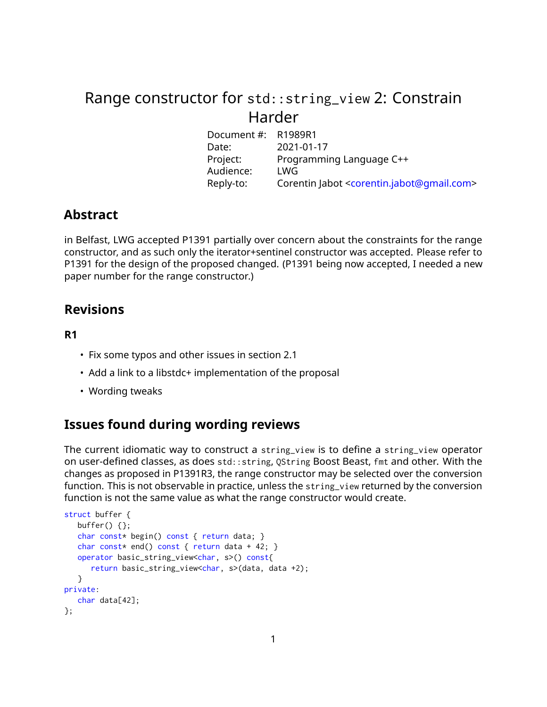# Range constructor for std::string\_view 2: Constrain Harder

| R1989R1                                                              |
|----------------------------------------------------------------------|
| 2021-01-17                                                           |
| Programming Language C++                                             |
| LWG                                                                  |
| Corentin Jabot <corentin.jabot@qmail.com></corentin.jabot@qmail.com> |
|                                                                      |

# **Abstract**

in Belfast, LWG accepted P1391 partially over concern about the constraints for the range constructor, and as such only the iterator+sentinel constructor was accepted. Please refer to P1391 for the design of the proposed changed. (P1391 being now accepted, I needed a new paper number for the range constructor.)

# **Revisions**

### **R1**

- Fix some typos and other issues in section 2.1
- Add a link to a libstdc+ implementation of the proposal
- Wording tweaks

# **Issues found during wording reviews**

The current idiomatic way to construct a string\_view is to define a string\_view operator on user-defined classes, as does std::string, QString Boost Beast, fmt and other. With the changes as proposed in P1391R3, the range constructor may be selected over the conversion function. This is not observable in practice, unless the string\_view returned by the conversion function is not the same value as what the range constructor would create.

```
struct buffer {
   buffer() {};
   char const* begin() const { return data; }
   char const* end() const { return data + 42; }
   operator basic_string_view<char, s>() const{
      return basic_string_view<char, s>(data, data +2);
   }
private:
  char data[42];
\mathcal{E}:
```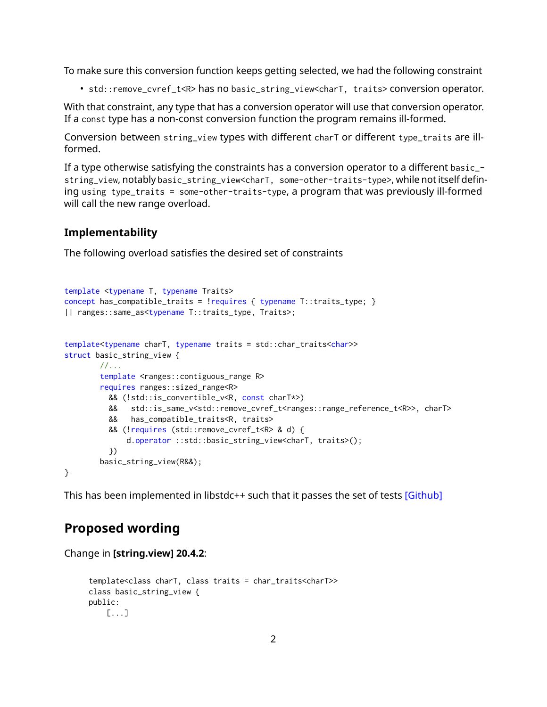To make sure this conversion function keeps getting selected, we had the following constraint

• std::remove\_cvref\_t<R> has no basic\_string\_view<charT, traits> conversion operator.

With that constraint, any type that has a conversion operator will use that conversion operator. If a const type has a non-const conversion function the program remains ill-formed.

Conversion between string\_view types with different charT or different type\_traits are illformed.

If a type otherwise satisfying the constraints has a conversion operator to a different basic\_ string\_view, notably basic\_string\_view<charT, some-other-traits-type>, while not itself defining using type\_traits = some-other-traits-type, a program that was previously ill-formed will call the new range overload.

### **Implementability**

The following overload satisfies the desired set of constraints

```
template <typename T, typename Traits>
concept has_compatible_traits = !requires { typename T::traits_type; }
|| ranges::same_as<typename T::traits_type, Traits>;
template<typename charT, typename traits = std::char_traits<char>>
struct basic_string_view {
       //...
        template <ranges::contiguous_range R>
        requires ranges::sized_range<R>
          && (!std::is_convertible_v<R, const charT*>)
          && std::is_same_v<std::remove_cvref_t<ranges::range_reference_t<R>>, charT>
          && has_compatible_traits<R, traits>
          && (!requires (std::remove_cvref_t<R> & d) {
             d.operator ::std::basic_string_view<charT, traits>();
          })
        basic_string_view(R&&);
}
```
This has been implemented in libstdc++ such that it passes the set of tests [\[Github\]](https://github.com/gcc-mirror/gcc/compare/master...cor3ntin:corentin/P1989?expand=1)

### **Proposed wording**

Change in **[string.view] 20.4.2**:

```
template<class charT, class traits = char_traits<charT>>
class basic_string_view {
public:
    [...]
```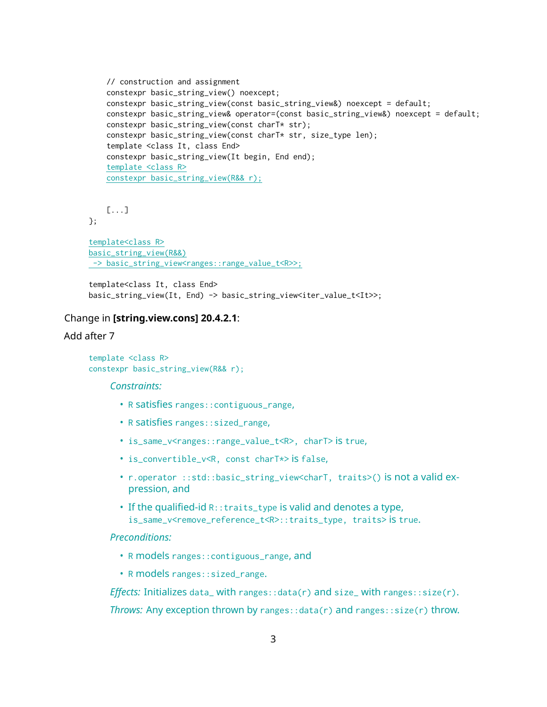```
// construction and assignment
constexpr basic_string_view() noexcept;
constexpr basic_string_view(const basic_string_view&) noexcept = default;
constexpr basic_string_view& operator=(const basic_string_view&) noexcept = default;
constexpr basic_string_view(const charT* str);
constexpr basic_string_view(const charT* str, size_type len);
template <class It, class End>
constexpr basic_string_view(It begin, End end);
template <class R>
constexpr basic_string_view(R&& r);
```
[...]

};

```
template<class R>
basic_string_view(R&&)
-> basic_string_view<ranges::range_value_t<R>>;
```
template<class It, class End> basic\_string\_view(It, End) -> basic\_string\_view<iter\_value\_t<It>>;

#### Change in **[string.view.cons] 20.4.2.1**:

#### Add after 7

```
template <class R>
constexpr basic_string_view(R&& r);
```
#### *Constraints:*

- R satisfies ranges::contiguous\_range,
- R satisfies ranges::sized\_range,
- is\_same\_v<ranges::range\_value\_t<R>, charT> is true,
- is\_convertible\_v<R, const charT\*> is false,
- r.operator ::std::basic\_string\_view<charT, traits>() is not a valid expression, and
- If the qualified-id R::traits\_type is valid and denotes a type, is\_same\_v<remove\_reference\_t<R>::traits\_type, traits> is true.

### *Preconditions:*

- R models ranges::contiguous\_range, and
- R models ranges::sized\_range.

*Effects:* Initializes data\_ with ranges::data(r) and size\_ with ranges::size(r). *Throws:* Any exception thrown by ranges::data(r) and ranges::size(r) throw.